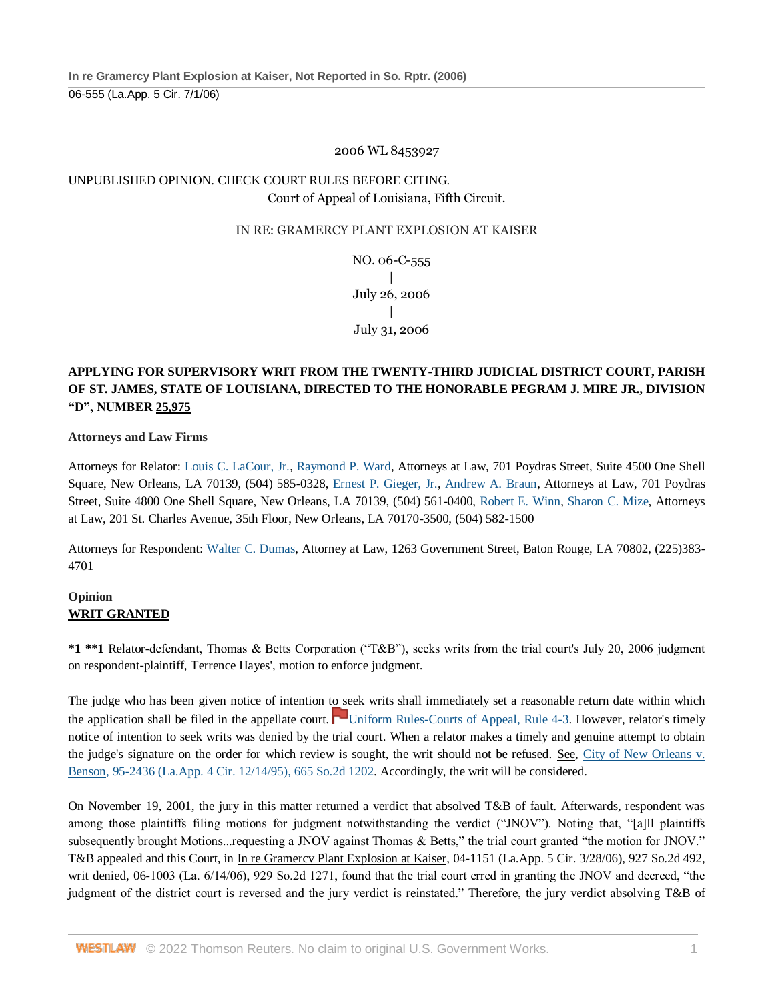### 2006 WL 8453927

# UNPUBLISHED OPINION. CHECK COURT RULES BEFORE CITING. Court of Appeal of Louisiana, Fifth Circuit.

### IN RE: GRAMERCY PLANT EXPLOSION AT KAISER

NO. 06-C-555  $\overline{1}$ July 26, 2006 | July 31, 2006

## **APPLYING FOR SUPERVISORY WRIT FROM THE TWENTY-THIRD JUDICIAL DISTRICT COURT, PARISH OF ST. JAMES, STATE OF LOUISIANA, DIRECTED TO THE HONORABLE PEGRAM J. MIRE JR., DIVISION "D", NUMBER 25,975**

#### **Attorneys and Law Firms**

Attorneys for Relator: [Louis C. LaCour, Jr.,](http://www.westlaw.com/Link/Document/FullText?findType=h&pubNum=176284&cite=0185465601&originatingDoc=I81273e90ad8111e9b508f0c9c0d45880&refType=RQ&originationContext=document&vr=3.0&rs=cblt1.0&transitionType=DocumentItem&contextData=(sc.Search)) [Raymond P. Ward,](http://www.westlaw.com/Link/Document/FullText?findType=h&pubNum=176284&cite=0330199901&originatingDoc=I81273e90ad8111e9b508f0c9c0d45880&refType=RQ&originationContext=document&vr=3.0&rs=cblt1.0&transitionType=DocumentItem&contextData=(sc.Search)) Attorneys at Law, 701 Poydras Street, Suite 4500 One Shell Square, New Orleans, LA 70139, (504) 585-0328, [Ernest P. Gieger, Jr.,](http://www.westlaw.com/Link/Document/FullText?findType=h&pubNum=176284&cite=0114786701&originatingDoc=I81273e90ad8111e9b508f0c9c0d45880&refType=RQ&originationContext=document&vr=3.0&rs=cblt1.0&transitionType=DocumentItem&contextData=(sc.Search)) [Andrew A. Braun,](http://www.westlaw.com/Link/Document/FullText?findType=h&pubNum=176284&cite=0111774801&originatingDoc=I81273e90ad8111e9b508f0c9c0d45880&refType=RQ&originationContext=document&vr=3.0&rs=cblt1.0&transitionType=DocumentItem&contextData=(sc.Search)) Attorneys at Law, 701 Poydras Street, Suite 4800 One Shell Square, New Orleans, LA 70139, (504) 561-0400, [Robert E. Winn,](http://www.westlaw.com/Link/Document/FullText?findType=h&pubNum=176284&cite=0226220101&originatingDoc=I81273e90ad8111e9b508f0c9c0d45880&refType=RQ&originationContext=document&vr=3.0&rs=cblt1.0&transitionType=DocumentItem&contextData=(sc.Search)) [Sharon C. Mize,](http://www.westlaw.com/Link/Document/FullText?findType=h&pubNum=176284&cite=0105342901&originatingDoc=I81273e90ad8111e9b508f0c9c0d45880&refType=RQ&originationContext=document&vr=3.0&rs=cblt1.0&transitionType=DocumentItem&contextData=(sc.Search)) Attorneys at Law, 201 St. Charles Avenue, 35th Floor, New Orleans, LA 70170-3500, (504) 582-1500

Attorneys for Respondent: [Walter C. Dumas,](http://www.westlaw.com/Link/Document/FullText?findType=h&pubNum=176284&cite=0201711501&originatingDoc=I81273e90ad8111e9b508f0c9c0d45880&refType=RQ&originationContext=document&vr=3.0&rs=cblt1.0&transitionType=DocumentItem&contextData=(sc.Search)) Attorney at Law, 1263 Government Street, Baton Rouge, LA 70802, (225)383- 4701

### **Opinion WRIT GRANTED**

**\*1 \*\*1** Relator-defendant, Thomas & Betts Corporation ("T&B"), seeks writs from the trial court's July 20, 2006 judgment on respondent-plaintiff, Terrence Hayes', motion to enforce judgment.

The judge who has been given notice of intention to seek writs shall immediately set a reasonable return date within which the application shall be filed in the appellate court. [Uniform Rules-Courts of Appeal, Rule 4-3.](http://www.westlaw.com/Link/Document/FullText?findType=L&pubNum=1006245&cite=LASTACTUNIFR4-3&originatingDoc=I81273e90ad8111e9b508f0c9c0d45880&refType=LQ&originationContext=document&vr=3.0&rs=cblt1.0&transitionType=DocumentItem&contextData=(sc.Search)) However, relator's timely notice of intention to seek writs was denied by the trial court. When a relator makes a timely and genuine attempt to obtain the judge's signature on the order for which review is sought, the writ should not be refused. See, [City of New Orleans v.](http://www.westlaw.com/Link/Document/FullText?findType=Y&serNum=1995248038&pubNum=0000735&originatingDoc=I81273e90ad8111e9b508f0c9c0d45880&refType=RP&originationContext=document&vr=3.0&rs=cblt1.0&transitionType=DocumentItem&contextData=(sc.Search))  [Benson, 95-2436 \(La.App. 4 Cir. 12/14/95\), 665 So.2d 1202.](http://www.westlaw.com/Link/Document/FullText?findType=Y&serNum=1995248038&pubNum=0000735&originatingDoc=I81273e90ad8111e9b508f0c9c0d45880&refType=RP&originationContext=document&vr=3.0&rs=cblt1.0&transitionType=DocumentItem&contextData=(sc.Search)) Accordingly, the writ will be considered.

On November 19, 2001, the jury in this matter returned a verdict that absolved T&B of fault. Afterwards, respondent was among those plaintiffs filing motions for judgment notwithstanding the verdict ("JNOV"). Noting that, "[a]ll plaintiffs subsequently brought Motions...requesting a JNOV against Thomas & Betts," the trial court granted "the motion for JNOV." T&B appealed and this Court, in In re Gramercv Plant Explosion at Kaiser, 04-1151 (La.App. 5 Cir. 3/28/06), 927 So.2d 492, writ denied, 06-1003 (La. 6/14/06), 929 So.2d 1271, found that the trial court erred in granting the JNOV and decreed, "the judgment of the district court is reversed and the jury verdict is reinstated." Therefore, the jury verdict absolving T&B of